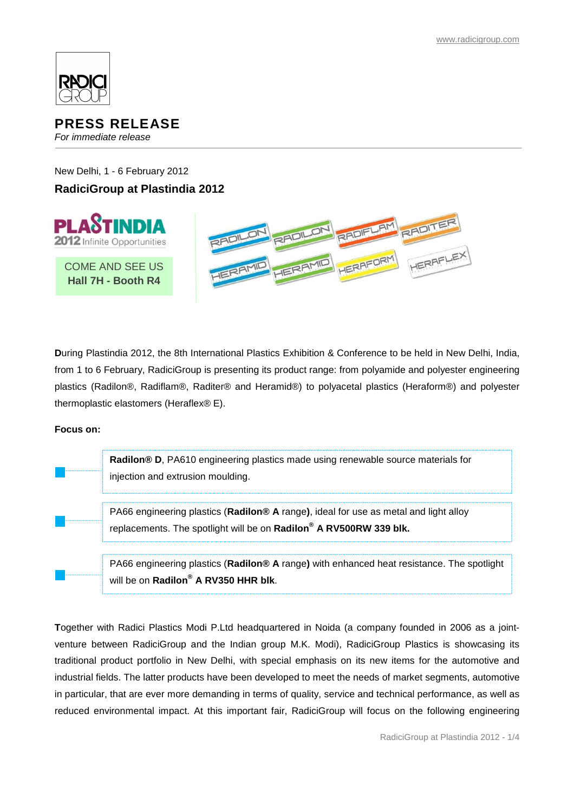

# **PRESS RELEASE**

*For immediate release*

New Delhi, 1 - 6 February 2012

# **RadiciGroup at Plastindia 2012**



**D**uring Plastindia 2012, the 8th International Plastics Exhibition & Conference to be held in New Delhi, India, from 1 to 6 February, RadiciGroup is presenting its product range: from polyamide and polyester engineering plastics (Radilon®, Radiflam®, Raditer® and Heramid®) to polyacetal plastics (Heraform®) and polyester thermoplastic elastomers (Heraflex® E).

## **Focus on:**

**Radilon® D**, PA610 engineering plastics made using renewable source materials for injection and extrusion moulding.

PA66 engineering plastics (**Radilon® A** range**)**, ideal for use as metal and light alloy replacements. The spotlight will be on **Radilon® A RV500RW 339 blk.**

PA66 engineering plastics (**Radilon® A** range**)** with enhanced heat resistance. The spotlight will be on **Radilon® A RV350 HHR blk**.

**T**ogether with Radici Plastics Modi P.Ltd headquartered in Noida (a company founded in 2006 as a jointventure between RadiciGroup and the Indian group M.K. Modi), RadiciGroup Plastics is showcasing its traditional product portfolio in New Delhi, with special emphasis on its new items for the automotive and industrial fields. The latter products have been developed to meet the needs of market segments, automotive in particular, that are ever more demanding in terms of quality, service and technical performance, as well as reduced environmental impact. At this important fair, RadiciGroup will focus on the following engineering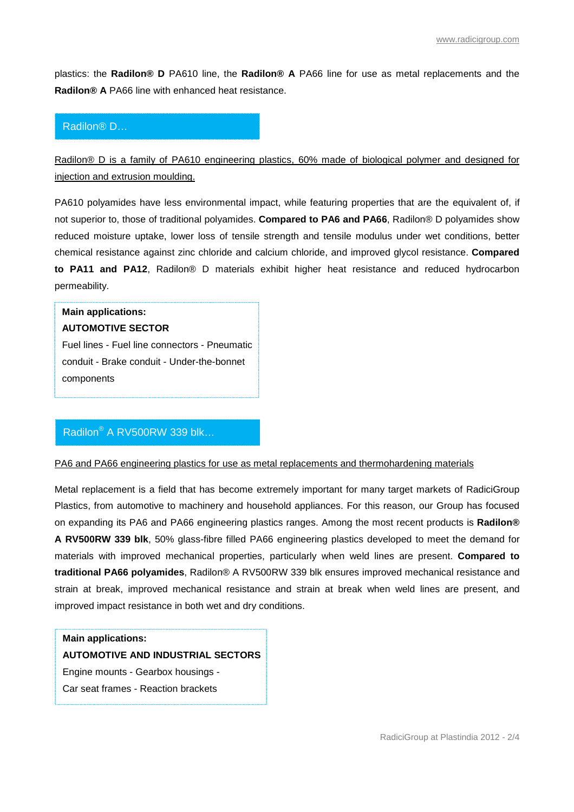plastics: the **Radilon® D** PA610 line, the **Radilon® A** PA66 line for use as metal replacements and the **Radilon® A** PA66 line with enhanced heat resistance.

#### Radilon® D…

Radilon<sup>®</sup> D is a family of PA610 engineering plastics, 60% made of biological polymer and designed for injection and extrusion moulding.

PA610 polyamides have less environmental impact, while featuring properties that are the equivalent of, if not superior to, those of traditional polyamides. **Compared to PA6 and PA66**, Radilon® D polyamides show reduced moisture uptake, lower loss of tensile strength and tensile modulus under wet conditions, better chemical resistance against zinc chloride and calcium chloride, and improved glycol resistance. **Compared to PA11 and PA12**, Radilon® D materials exhibit higher heat resistance and reduced hydrocarbon permeability.

# **Main applications: AUTOMOTIVE SECTOR**

Fuel lines - Fuel line connectors - Pneumatic conduit - Brake conduit - Under-the-bonnet components

## Radilon® A RV500RW 339 blk…

#### PA6 and PA66 engineering plastics for use as metal replacements and thermohardening materials

Metal replacement is a field that has become extremely important for many target markets of RadiciGroup Plastics, from automotive to machinery and household appliances. For this reason, our Group has focused on expanding its PA6 and PA66 engineering plastics ranges. Among the most recent products is **Radilon® A RV500RW 339 blk**, 50% glass-fibre filled PA66 engineering plastics developed to meet the demand for materials with improved mechanical properties, particularly when weld lines are present. **Compared to traditional PA66 polyamides**, Radilon® A RV500RW 339 blk ensures improved mechanical resistance and strain at break, improved mechanical resistance and strain at break when weld lines are present, and improved impact resistance in both wet and dry conditions.

#### **Main applications:**

#### **AUTOMOTIVE AND INDUSTRIAL SECTORS**

Engine mounts - Gearbox housings -

Car seat frames - Reaction brackets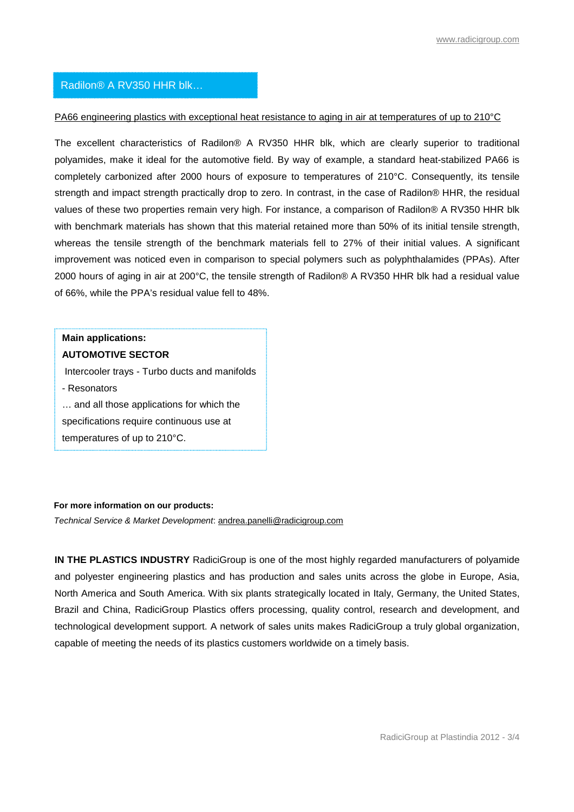## Radilon® A RV350 HHR blk…

#### PA66 engineering plastics with exceptional heat resistance to aging in air at temperatures of up to 210°C

The excellent characteristics of Radilon® A RV350 HHR blk, which are clearly superior to traditional polyamides, make it ideal for the automotive field. By way of example, a standard heat-stabilized PA66 is completely carbonized after 2000 hours of exposure to temperatures of 210°C. Consequently, its tensile strength and impact strength practically drop to zero. In contrast, in the case of Radilon® HHR, the residual values of these two properties remain very high. For instance, a comparison of Radilon® A RV350 HHR blk with benchmark materials has shown that this material retained more than 50% of its initial tensile strength, whereas the tensile strength of the benchmark materials fell to 27% of their initial values. A significant improvement was noticed even in comparison to special polymers such as polyphthalamides (PPAs). After 2000 hours of aging in air at 200°C, the tensile strength of Radilon® A RV350 HHR blk had a residual value of 66%, while the PPA's residual value fell to 48%.

# **Main applications: AUTOMOTIVE SECTOR**

Intercooler trays - Turbo ducts and manifolds

- Resonators … and all those applications for which the

specifications require continuous use at

temperatures of up to 210°C.

#### **For more information on our products:**

*Technical Service & Market Development*: andrea.panelli@radicigroup.com

**IN THE PLASTICS INDUSTRY** RadiciGroup is one of the most highly regarded manufacturers of polyamide and polyester engineering plastics and has production and sales units across the globe in Europe, Asia, North America and South America. With six plants strategically located in Italy, Germany, the United States, Brazil and China, RadiciGroup Plastics offers processing, quality control, research and development, and technological development support. A network of sales units makes RadiciGroup a truly global organization, capable of meeting the needs of its plastics customers worldwide on a timely basis.